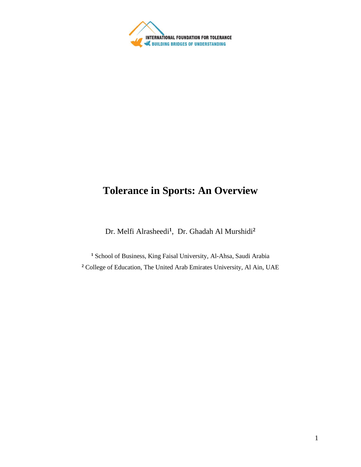

# **Tolerance in Sports: An Overview**

Dr. Melfi Alrasheedi**<sup>1</sup>** , Dr. Ghadah Al Murshidi**<sup>2</sup>**

**<sup>1</sup>** School of Business, King Faisal University, Al-Ahsa, Saudi Arabia **<sup>2</sup>** College of Education, The United Arab Emirates University, Al Ain, UAE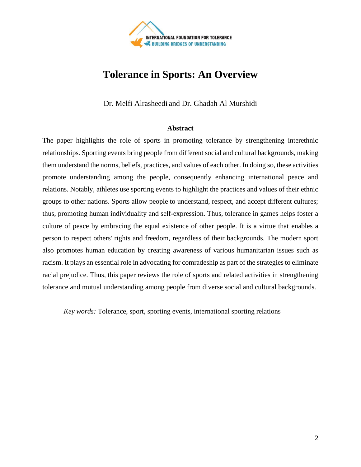

# **Tolerance in Sports: An Overview**

Dr. Melfi Alrasheedi and Dr. Ghadah Al Murshidi

#### **Abstract**

The paper highlights the role of sports in promoting tolerance by strengthening interethnic relationships. Sporting events bring people from different social and cultural backgrounds, making them understand the norms, beliefs, practices, and values of each other. In doing so, these activities promote understanding among the people, consequently enhancing international peace and relations. Notably, athletes use sporting events to highlight the practices and values of their ethnic groups to other nations. Sports allow people to understand, respect, and accept different cultures; thus, promoting human individuality and self-expression. Thus, tolerance in games helps foster a culture of peace by embracing the equal existence of other people. It is a virtue that enables a person to respect others' rights and freedom, regardless of their backgrounds. The modern sport also promotes human education by creating awareness of various humanitarian issues such as racism. It plays an essential role in advocating for comradeship as part of the strategies to eliminate racial prejudice. Thus, this paper reviews the role of sports and related activities in strengthening tolerance and mutual understanding among people from diverse social and cultural backgrounds.

*Key words:* Tolerance, sport, sporting events, international sporting relations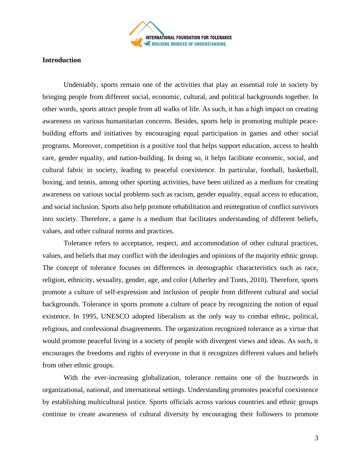

### **Introduction**

Undeniably, sports remain one of the activities that play an essential role in society by bringing people from different social, economic, cultural, and political backgrounds together. In other words, sports attract people from all walks of life. As such, it has a high impact on creating awareness on various humanitarian concerns. Besides, sports help in promoting multiple peacebuilding efforts and initiatives by encouraging equal participation in games and other social programs. Moreover, competition is a positive tool that helps support education, access to health care, gender equality, and nation-building. In doing so, it helps facilitate economic, social, and cultural fabric in society, leading to peaceful coexistence. In particular, football, basketball, boxing, and tennis, among other sporting activities, have been utilized as a medium for creating awareness on various social problems such as racism, gender equality, equal access to education, and social inclusion. Sports also help promote rehabilitation and reintegration of conflict survivors into society. Therefore, a game is a medium that facilitates understanding of different beliefs, values, and other cultural norms and practices.

Tolerance refers to acceptance, respect, and accommodation of other cultural practices, values, and beliefs that may conflict with the ideologies and opinions of the majority ethnic group. The concept of tolerance focuses on differences in demographic characteristics such as race, religion, ethnicity, sexuality, gender, age, and color (Atherley and Tonts, 2010). Therefore, sports promote a culture of self-expression and inclusion of people from different cultural and social backgrounds. Tolerance in sports promote a culture of peace by recognizing the notion of equal existence. In 1995, UNESCO adopted liberalism as the only way to combat ethnic, political, religious, and confessional disagreements. The organization recognized tolerance as a virtue that would promote peaceful living in a society of people with divergent views and ideas. As such, it encourages the freedoms and rights of everyone in that it recognizes different values and beliefs from other ethnic groups.

With the ever-increasing globalization, tolerance remains one of the buzzwords in organizational, national, and international settings. Understanding promotes peaceful coexistence by establishing multicultural justice. Sports officials across various countries and ethnic groups continue to create awareness of cultural diversity by encouraging their followers to promote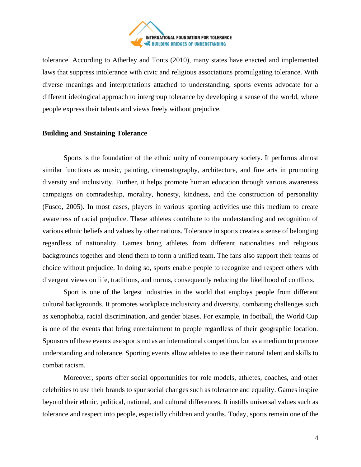

tolerance. According to Atherley and Tonts (2010), many states have enacted and implemented laws that suppress intolerance with civic and religious associations promulgating tolerance. With diverse meanings and interpretations attached to understanding, sports events advocate for a different ideological approach to intergroup tolerance by developing a sense of the world, where people express their talents and views freely without prejudice.

## **Building and Sustaining Tolerance**

Sports is the foundation of the ethnic unity of contemporary society. It performs almost similar functions as music, painting, cinematography, architecture, and fine arts in promoting diversity and inclusivity. Further, it helps promote human education through various awareness campaigns on comradeship, morality, honesty, kindness, and the construction of personality (Fusco, 2005). In most cases, players in various sporting activities use this medium to create awareness of racial prejudice. These athletes contribute to the understanding and recognition of various ethnic beliefs and values by other nations. Tolerance in sports creates a sense of belonging regardless of nationality. Games bring athletes from different nationalities and religious backgrounds together and blend them to form a unified team. The fans also support their teams of choice without prejudice. In doing so, sports enable people to recognize and respect others with divergent views on life, traditions, and norms, consequently reducing the likelihood of conflicts.

Sport is one of the largest industries in the world that employs people from different cultural backgrounds. It promotes workplace inclusivity and diversity, combating challenges such as xenophobia, racial discrimination, and gender biases. For example, in football, the World Cup is one of the events that bring entertainment to people regardless of their geographic location. Sponsors of these events use sports not as an international competition, but as a medium to promote understanding and tolerance. Sporting events allow athletes to use their natural talent and skills to combat racism.

Moreover, sports offer social opportunities for role models, athletes, coaches, and other celebrities to use their brands to spur social changes such as tolerance and equality. Games inspire beyond their ethnic, political, national, and cultural differences. It instills universal values such as tolerance and respect into people, especially children and youths. Today, sports remain one of the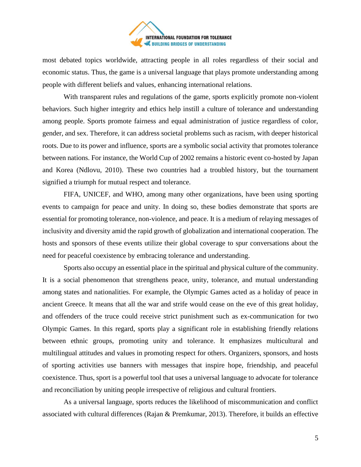

most debated topics worldwide, attracting people in all roles regardless of their social and economic status. Thus, the game is a universal language that plays promote understanding among people with different beliefs and values, enhancing international relations.

With transparent rules and regulations of the game, sports explicitly promote non-violent behaviors. Such higher integrity and ethics help instill a culture of tolerance and understanding among people. Sports promote fairness and equal administration of justice regardless of color, gender, and sex. Therefore, it can address societal problems such as racism, with deeper historical roots. Due to its power and influence, sports are a symbolic social activity that promotes tolerance between nations. For instance, the World Cup of 2002 remains a historic event co-hosted by Japan and Korea (Ndlovu, 2010). These two countries had a troubled history, but the tournament signified a triumph for mutual respect and tolerance.

FIFA, UNICEF, and WHO, among many other organizations, have been using sporting events to campaign for peace and unity. In doing so, these bodies demonstrate that sports are essential for promoting tolerance, non-violence, and peace. It is a medium of relaying messages of inclusivity and diversity amid the rapid growth of globalization and international cooperation. The hosts and sponsors of these events utilize their global coverage to spur conversations about the need for peaceful coexistence by embracing tolerance and understanding.

Sports also occupy an essential place in the spiritual and physical culture of the community. It is a social phenomenon that strengthens peace, unity, tolerance, and mutual understanding among states and nationalities. For example, the Olympic Games acted as a holiday of peace in ancient Greece. It means that all the war and strife would cease on the eve of this great holiday, and offenders of the truce could receive strict punishment such as ex-communication for two Olympic Games. In this regard, sports play a significant role in establishing friendly relations between ethnic groups, promoting unity and tolerance. It emphasizes multicultural and multilingual attitudes and values in promoting respect for others. Organizers, sponsors, and hosts of sporting activities use banners with messages that inspire hope, friendship, and peaceful coexistence. Thus, sport is a powerful tool that uses a universal language to advocate for tolerance and reconciliation by uniting people irrespective of religious and cultural frontiers.

As a universal language, sports reduces the likelihood of miscommunication and conflict associated with cultural differences (Rajan & Premkumar, 2013). Therefore, it builds an effective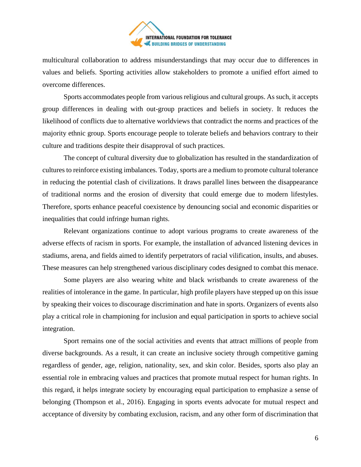

multicultural collaboration to address misunderstandings that may occur due to differences in values and beliefs. Sporting activities allow stakeholders to promote a unified effort aimed to overcome differences.

Sports accommodates people from various religious and cultural groups. As such, it accepts group differences in dealing with out-group practices and beliefs in society. It reduces the likelihood of conflicts due to alternative worldviews that contradict the norms and practices of the majority ethnic group. Sports encourage people to tolerate beliefs and behaviors contrary to their culture and traditions despite their disapproval of such practices.

The concept of cultural diversity due to globalization has resulted in the standardization of cultures to reinforce existing imbalances. Today, sports are a medium to promote cultural tolerance in reducing the potential clash of civilizations. It draws parallel lines between the disappearance of traditional norms and the erosion of diversity that could emerge due to modern lifestyles. Therefore, sports enhance peaceful coexistence by denouncing social and economic disparities or inequalities that could infringe human rights.

Relevant organizations continue to adopt various programs to create awareness of the adverse effects of racism in sports. For example, the installation of advanced listening devices in stadiums, arena, and fields aimed to identify perpetrators of racial vilification, insults, and abuses. These measures can help strengthened various disciplinary codes designed to combat this menace.

Some players are also wearing white and black wristbands to create awareness of the realities of intolerance in the game. In particular, high profile players have stepped up on this issue by speaking their voices to discourage discrimination and hate in sports. Organizers of events also play a critical role in championing for inclusion and equal participation in sports to achieve social integration.

Sport remains one of the social activities and events that attract millions of people from diverse backgrounds. As a result, it can create an inclusive society through competitive gaming regardless of gender, age, religion, nationality, sex, and skin color. Besides, sports also play an essential role in embracing values and practices that promote mutual respect for human rights. In this regard, it helps integrate society by encouraging equal participation to emphasize a sense of belonging (Thompson et al., 2016). Engaging in sports events advocate for mutual respect and acceptance of diversity by combating exclusion, racism, and any other form of discrimination that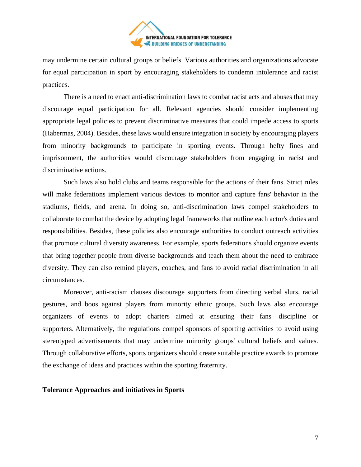

may undermine certain cultural groups or beliefs. Various authorities and organizations advocate for equal participation in sport by encouraging stakeholders to condemn intolerance and racist practices.

There is a need to enact anti-discrimination laws to combat racist acts and abuses that may discourage equal participation for all. Relevant agencies should consider implementing appropriate legal policies to prevent discriminative measures that could impede access to sports (Habermas, 2004). Besides, these laws would ensure integration in society by encouraging players from minority backgrounds to participate in sporting events. Through hefty fines and imprisonment, the authorities would discourage stakeholders from engaging in racist and discriminative actions.

Such laws also hold clubs and teams responsible for the actions of their fans. Strict rules will make federations implement various devices to monitor and capture fans' behavior in the stadiums, fields, and arena. In doing so, anti-discrimination laws compel stakeholders to collaborate to combat the device by adopting legal frameworks that outline each actor's duties and responsibilities. Besides, these policies also encourage authorities to conduct outreach activities that promote cultural diversity awareness. For example, sports federations should organize events that bring together people from diverse backgrounds and teach them about the need to embrace diversity. They can also remind players, coaches, and fans to avoid racial discrimination in all circumstances.

Moreover, anti-racism clauses discourage supporters from directing verbal slurs, racial gestures, and boos against players from minority ethnic groups. Such laws also encourage organizers of events to adopt charters aimed at ensuring their fans' discipline or supporters. Alternatively, the regulations compel sponsors of sporting activities to avoid using stereotyped advertisements that may undermine minority groups' cultural beliefs and values. Through collaborative efforts, sports organizers should create suitable practice awards to promote the exchange of ideas and practices within the sporting fraternity.

#### **Tolerance Approaches and initiatives in Sports**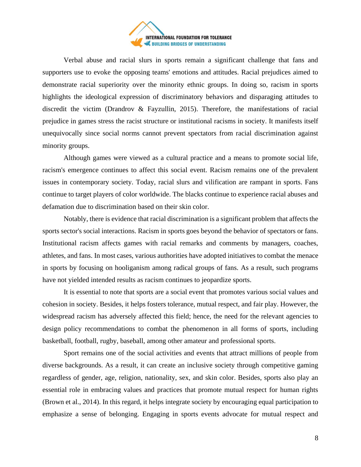

Verbal abuse and racial slurs in sports remain a significant challenge that fans and supporters use to evoke the opposing teams' emotions and attitudes. Racial prejudices aimed to demonstrate racial superiority over the minority ethnic groups. In doing so, racism in sports highlights the ideological expression of discriminatory behaviors and disparaging attitudes to discredit the victim (Drandrov & Fayzullin, 2015). Therefore, the manifestations of racial prejudice in games stress the racist structure or institutional racisms in society. It manifests itself unequivocally since social norms cannot prevent spectators from racial discrimination against minority groups.

Although games were viewed as a cultural practice and a means to promote social life, racism's emergence continues to affect this social event. Racism remains one of the prevalent issues in contemporary society. Today, racial slurs and vilification are rampant in sports. Fans continue to target players of color worldwide. The blacks continue to experience racial abuses and defamation due to discrimination based on their skin color.

Notably, there is evidence that racial discrimination is a significant problem that affects the sports sector's social interactions. Racism in sports goes beyond the behavior of spectators or fans. Institutional racism affects games with racial remarks and comments by managers, coaches, athletes, and fans. In most cases, various authorities have adopted initiatives to combat the menace in sports by focusing on hooliganism among radical groups of fans. As a result, such programs have not yielded intended results as racism continues to jeopardize sports.

It is essential to note that sports are a social event that promotes various social values and cohesion in society. Besides, it helps fosters tolerance, mutual respect, and fair play. However, the widespread racism has adversely affected this field; hence, the need for the relevant agencies to design policy recommendations to combat the phenomenon in all forms of sports, including basketball, football, rugby, baseball, among other amateur and professional sports.

Sport remains one of the social activities and events that attract millions of people from diverse backgrounds. As a result, it can create an inclusive society through competitive gaming regardless of gender, age, religion, nationality, sex, and skin color. Besides, sports also play an essential role in embracing values and practices that promote mutual respect for human rights (Brown et al., 2014). In this regard, it helps integrate society by encouraging equal participation to emphasize a sense of belonging. Engaging in sports events advocate for mutual respect and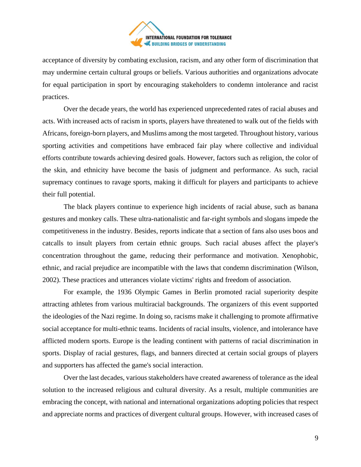

acceptance of diversity by combating exclusion, racism, and any other form of discrimination that may undermine certain cultural groups or beliefs. Various authorities and organizations advocate for equal participation in sport by encouraging stakeholders to condemn intolerance and racist practices.

Over the decade years, the world has experienced unprecedented rates of racial abuses and acts. With increased acts of racism in sports, players have threatened to walk out of the fields with Africans, foreign-born players, and Muslims among the most targeted. Throughout history, various sporting activities and competitions have embraced fair play where collective and individual efforts contribute towards achieving desired goals. However, factors such as religion, the color of the skin, and ethnicity have become the basis of judgment and performance. As such, racial supremacy continues to ravage sports, making it difficult for players and participants to achieve their full potential.

The black players continue to experience high incidents of racial abuse, such as banana gestures and monkey calls. These ultra-nationalistic and far-right symbols and slogans impede the competitiveness in the industry. Besides, reports indicate that a section of fans also uses boos and catcalls to insult players from certain ethnic groups. Such racial abuses affect the player's concentration throughout the game, reducing their performance and motivation. Xenophobic, ethnic, and racial prejudice are incompatible with the laws that condemn discrimination (Wilson, 2002). These practices and utterances violate victims' rights and freedom of association.

For example, the 1936 Olympic Games in Berlin promoted racial superiority despite attracting athletes from various multiracial backgrounds. The organizers of this event supported the ideologies of the Nazi regime. In doing so, racisms make it challenging to promote affirmative social acceptance for multi-ethnic teams. Incidents of racial insults, violence, and intolerance have afflicted modern sports. Europe is the leading continent with patterns of racial discrimination in sports. Display of racial gestures, flags, and banners directed at certain social groups of players and supporters has affected the game's social interaction.

Over the last decades, various stakeholders have created awareness of tolerance as the ideal solution to the increased religious and cultural diversity. As a result, multiple communities are embracing the concept, with national and international organizations adopting policies that respect and appreciate norms and practices of divergent cultural groups. However, with increased cases of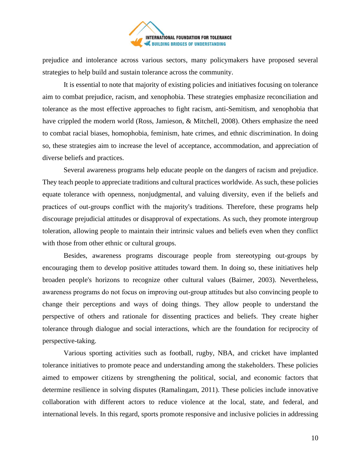

prejudice and intolerance across various sectors, many policymakers have proposed several strategies to help build and sustain tolerance across the community.

It is essential to note that majority of existing policies and initiatives focusing on tolerance aim to combat prejudice, racism, and xenophobia. These strategies emphasize reconciliation and tolerance as the most effective approaches to fight racism, anti-Semitism, and xenophobia that have crippled the modern world (Ross, Jamieson, & Mitchell, 2008). Others emphasize the need to combat racial biases, homophobia, feminism, hate crimes, and ethnic discrimination. In doing so, these strategies aim to increase the level of acceptance, accommodation, and appreciation of diverse beliefs and practices.

Several awareness programs help educate people on the dangers of racism and prejudice. They teach people to appreciate traditions and cultural practices worldwide. As such, these policies equate tolerance with openness, nonjudgmental, and valuing diversity, even if the beliefs and practices of out‐groups conflict with the majority's traditions. Therefore, these programs help discourage prejudicial attitudes or disapproval of expectations. As such, they promote intergroup toleration, allowing people to maintain their intrinsic values and beliefs even when they conflict with those from other ethnic or cultural groups.

Besides, awareness programs discourage people from stereotyping out-groups by encouraging them to develop positive attitudes toward them. In doing so, these initiatives help broaden people's horizons to recognize other cultural values (Bairner, 2003). Nevertheless, awareness programs do not focus on improving out‐group attitudes but also convincing people to change their perceptions and ways of doing things. They allow people to understand the perspective of others and rationale for dissenting practices and beliefs. They create higher tolerance through dialogue and social interactions, which are the foundation for reciprocity of perspective-taking.

Various sporting activities such as football, rugby, NBA, and cricket have implanted tolerance initiatives to promote peace and understanding among the stakeholders. These policies aimed to empower citizens by strengthening the political, social, and economic factors that determine resilience in solving disputes (Ramalingam, 2011). These policies include innovative collaboration with different actors to reduce violence at the local, state, and federal, and international levels. In this regard, sports promote responsive and inclusive policies in addressing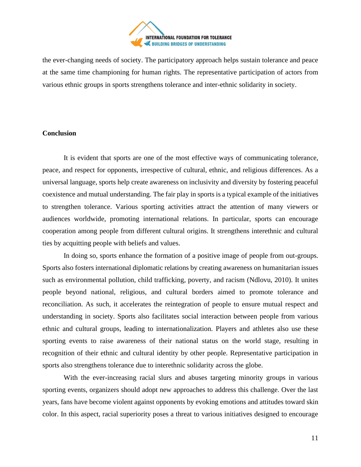

the ever-changing needs of society. The participatory approach helps sustain tolerance and peace at the same time championing for human rights. The representative participation of actors from various ethnic groups in sports strengthens tolerance and inter-ethnic solidarity in society.

# **Conclusion**

It is evident that sports are one of the most effective ways of communicating tolerance, peace, and respect for opponents, irrespective of cultural, ethnic, and religious differences. As a universal language, sports help create awareness on inclusivity and diversity by fostering peaceful coexistence and mutual understanding. The fair play in sports is a typical example of the initiatives to strengthen tolerance. Various sporting activities attract the attention of many viewers or audiences worldwide, promoting international relations. In particular, sports can encourage cooperation among people from different cultural origins. It strengthens interethnic and cultural ties by acquitting people with beliefs and values.

In doing so, sports enhance the formation of a positive image of people from out-groups. Sports also fosters international diplomatic relations by creating awareness on humanitarian issues such as environmental pollution, child trafficking, poverty, and racism (Ndlovu, 2010). It unites people beyond national, religious, and cultural borders aimed to promote tolerance and reconciliation. As such, it accelerates the reintegration of people to ensure mutual respect and understanding in society. Sports also facilitates social interaction between people from various ethnic and cultural groups, leading to internationalization. Players and athletes also use these sporting events to raise awareness of their national status on the world stage, resulting in recognition of their ethnic and cultural identity by other people. Representative participation in sports also strengthens tolerance due to interethnic solidarity across the globe.

With the ever-increasing racial slurs and abuses targeting minority groups in various sporting events, organizers should adopt new approaches to address this challenge. Over the last years, fans have become violent against opponents by evoking emotions and attitudes toward skin color. In this aspect, racial superiority poses a threat to various initiatives designed to encourage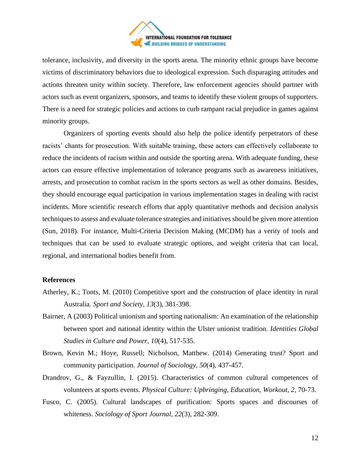

tolerance, inclusivity, and diversity in the sports arena. The minority ethnic groups have become victims of discriminatory behaviors due to ideological expression. Such disparaging attitudes and actions threaten unity within society. Therefore, law enforcement agencies should partner with actors such as event organizers, sponsors, and teams to identify these violent groups of supporters. There is a need for strategic policies and actions to curb rampant racial prejudice in games against minority groups.

Organizers of sporting events should also help the police identify perpetrators of these racists' chants for prosecution. With suitable training, these actors can effectively collaborate to reduce the incidents of racism within and outside the sporting arena. With adequate funding, these actors can ensure effective implementation of tolerance programs such as awareness initiatives, arrests, and prosecution to combat racism in the sports sectors as well as other domains. Besides, they should encourage equal participation in various implementation stages in dealing with racist incidents. More scientific research efforts that apply quantitative methods and decision analysis techniques to assess and evaluate tolerance strategies and initiatives should be given more attention (Sun, 2018). For instance, Multi-Criteria Decision Making (MCDM) has a verity of tools and techniques that can be used to evaluate strategic options, and weight criteria that can local, regional, and international bodies benefit from.

#### **References**

- Atherley, K.; Tonts, M. (2010) Competitive sport and the construction of place identity in rural Australia. *Sport and Society*, *13*(3), 381-398.
- Bairner, A (2003) Political unionism and sporting nationalism: An examination of the relationship between sport and national identity within the Ulster unionist tradition. *Identities Global Studies in Culture and Power*, *10*(4), 517-535.
- Brown, Kevin M.; Hoye, Russell; Nicholson, Matthew. (2014) Generating trust? Sport and community participation. *Journal of Sociology*, *50*(4), 437-457.
- Drandrov, G., & Fayzullin, I. (2015). Characteristics of common cultural competences of volunteers at sports events. *Physical Culture: Upbringing, Education, Workout*, *2*, 70-73.
- Fusco, C. (2005). Cultural landscapes of purification: Sports spaces and discourses of whiteness. *Sociology of Sport Journal*, *22*(3), 282-309.